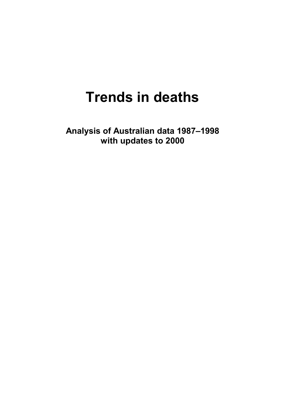# **Trends in deaths**

**Analysis of Australian data 1987–1998 with updates to 2000**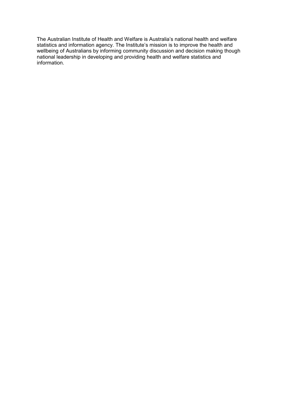The Australian Institute of Health and Welfare is Australia's national health and welfare statistics and information agency. The Institute's mission is to improve the health and wellbeing of Australians by informing community discussion and decision making though national leadership in developing and providing health and welfare statistics and information.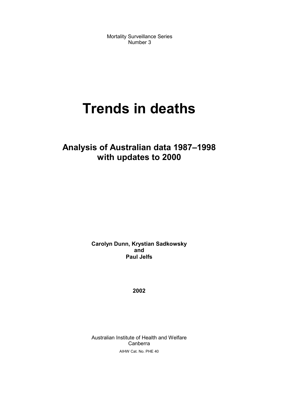Mortality Surveillance Series Number 3

# **Trends in deaths**

### **Analysis of Australian data 1987–1998 with updates to 2000**

**Carolyn Dunn, Krystian Sadkowsky and Paul Jelfs**

**2002**

Australian Institute of Health and Welfare Canberra AIHW Cat. No. PHE 40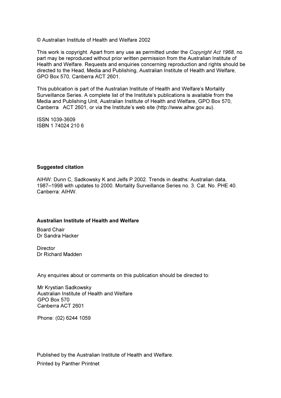© Australian Institute of Health and Welfare 2002

This work is copyright. Apart from any use as permitted under the Copyright Act 1968, no part may be reproduced without prior written permission from the Australian Institute of Health and Welfare. Requests and enquiries concerning reproduction and rights should be directed to the Head, Media and Publishing, Australian Institute of Health and Welfare. GPO Box 570. Canberra ACT 2601.

This publication is part of the Australian Institute of Health and Welfare's Mortality Surveillance Series. A complete list of the Institute's publications is available from the Media and Publishing Unit, Australian Institute of Health and Welfare, GPO Box 570, Canberra ACT 2601, or via the Institute's web site (http://www.aihw.gov.au).

ISSN 1039-3609 ISBN 174024 2106

#### **Suggested citation**

AIHW: Dunn C. Sadkowsky K and Jelfs P 2002. Trends in deaths: Australian data. 1987-1998 with updates to 2000. Mortality Surveillance Series no. 3. Cat. No. PHE 40. Canberra: AIHW.

#### Australian Institute of Health and Welfare

**Board Chair** Dr Sandra Hacker

Director Dr Richard Madden

Any enquiries about or comments on this publication should be directed to:

Mr Krystian Sadkowsky Australian Institute of Health and Welfare **GPO Box 570** Canberra ACT 2601

Phone: (02) 6244 1059

Published by the Australian Institute of Health and Welfare. **Printed by Panther Printnet**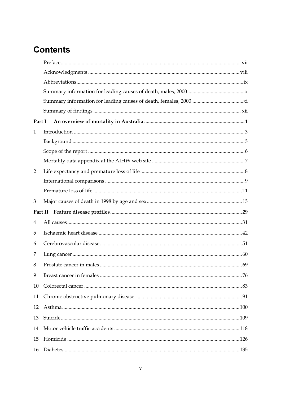## **Contents**

| Part I       |  |
|--------------|--|
| $\mathbf{1}$ |  |
|              |  |
|              |  |
|              |  |
| 2            |  |
|              |  |
|              |  |
| 3            |  |
|              |  |
| 4            |  |
| 5            |  |
| 6            |  |
|              |  |
| 7            |  |
| 8            |  |
| 9            |  |
| 10           |  |
| 11           |  |
| 12           |  |
| 13           |  |
| 14           |  |
| 15           |  |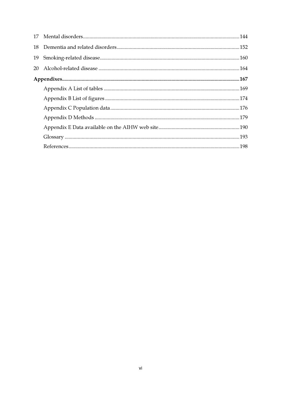| 18 |  |
|----|--|
| 19 |  |
| 20 |  |
|    |  |
|    |  |
|    |  |
|    |  |
|    |  |
|    |  |
|    |  |
|    |  |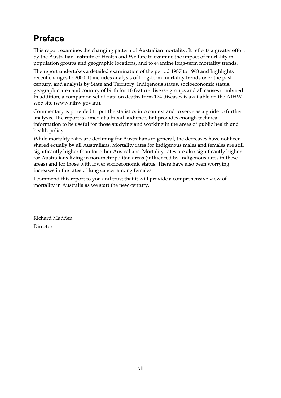### **Preface**

This report examines the changing pattern of Australian mortality. It reflects a greater effort by the Australian Institute of Health and Welfare to examine the impact of mortality in population groups and geographic locations, and to examine long-term mortality trends.

The report undertakes a detailed examination of the period 1987 to 1998 and highlights recent changes to 2000. It includes analysis of long-term mortality trends over the past century, and analysis by State and Territory, Indigenous status, socioeconomic status, geographic area and country of birth for 16 feature disease groups and all causes combined. In addition, a companion set of data on deaths from 174 diseases is available on the AIHW web site (www.aihw.gov.au).

Commentary is provided to put the statistics into context and to serve as a guide to further analysis. The report is aimed at a broad audience, but provides enough technical information to be useful for those studying and working in the areas of public health and health policy.

While mortality rates are declining for Australians in general, the decreases have not been shared equally by all Australians. Mortality rates for Indigenous males and females are still significantly higher than for other Australians. Mortality rates are also significantly higher for Australians living in non-metropolitan areas (influenced by Indigenous rates in these areas) and for those with lower socioeconomic status. There have also been worrying increases in the rates of lung cancer among females.

I commend this report to you and trust that it will provide a comprehensive view of mortality in Australia as we start the new century.

Richard Madden Director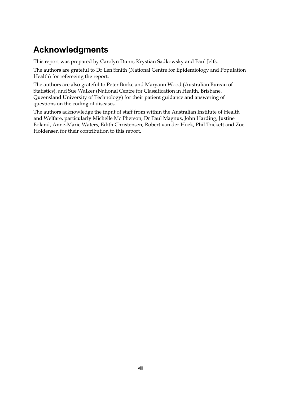## **Acknowledgments**

This report was prepared by Carolyn Dunn, Krystian Sadkowsky and Paul Jelfs.

The authors are grateful to Dr Len Smith (National Centre for Epidemiology and Population Health) for refereeing the report.

The authors are also grateful to Peter Burke and Maryann Wood (Australian Bureau of Statistics), and Sue Walker (National Centre for Classification in Health, Brisbane, Queensland University of Technology) for their patient guidance and answering of questions on the coding of diseases.

The authors acknowledge the input of staff from within the Australian Institute of Health and Welfare, particularly Michelle Mc Pherson, Dr Paul Magnus, John Harding, Justine Boland, Anne-Marie Waters, Edith Christensen, Robert van der Hoek, Phil Trickett and Zoe Holdensen for their contribution to this report.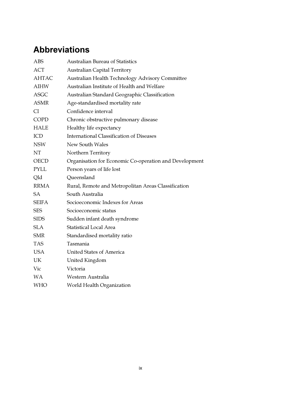### **Abbreviations**

| <b>ABS</b>   | <b>Australian Bureau of Statistics</b>                 |
|--------------|--------------------------------------------------------|
| <b>ACT</b>   | <b>Australian Capital Territory</b>                    |
| AHTAC        | Australian Health Technology Advisory Committee        |
| <b>AIHW</b>  | Australian Institute of Health and Welfare             |
| <b>ASGC</b>  | Australian Standard Geographic Classification          |
| <b>ASMR</b>  | Age-standardised mortality rate                        |
| CI           | Confidence interval                                    |
| <b>COPD</b>  | Chronic obstructive pulmonary disease                  |
| <b>HALE</b>  | Healthy life expectancy                                |
| ICD          | <b>International Classification of Diseases</b>        |
| <b>NSW</b>   | New South Wales                                        |
| NT           | Northern Territory                                     |
| <b>OECD</b>  | Organisation for Economic Co-operation and Development |
| <b>PYLL</b>  | Person years of life lost                              |
| Qld          | Queensland                                             |
| RRMA         | Rural, Remote and Metropolitan Areas Classification    |
| <b>SA</b>    | South Australia                                        |
| <b>SEIFA</b> | Socioeconomic Indexes for Areas                        |
| <b>SES</b>   | Socioeconomic status                                   |
| <b>SIDS</b>  | Sudden infant death syndrome                           |
| <b>SLA</b>   | <b>Statistical Local Area</b>                          |
| <b>SMR</b>   | Standardised mortality ratio                           |
| <b>TAS</b>   | Tasmania                                               |
| <b>USA</b>   | <b>United States of America</b>                        |
| UK           | United Kingdom                                         |
| Vic          | Victoria                                               |
| <b>WA</b>    | Western Australia                                      |
| <b>WHO</b>   | World Health Organization                              |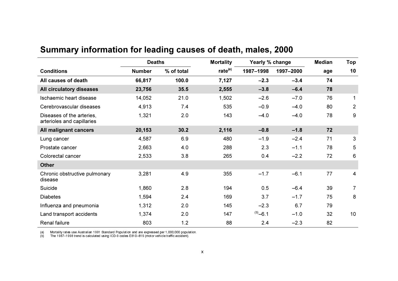|                                                         | <b>Deaths</b> |            | <b>Mortality</b>    | Yearly % change |           | <b>Median</b> | <b>Top</b>     |
|---------------------------------------------------------|---------------|------------|---------------------|-----------------|-----------|---------------|----------------|
| <b>Conditions</b>                                       | <b>Number</b> | % of total | rate <sup>(a)</sup> | 1987-1998       | 1997-2000 | age           | 10             |
| All causes of death                                     | 66,817        | 100.0      | 7,127               | $-2.3$          | $-3.4$    | 74            |                |
| All circulatory diseases                                | 23,756        | 35.5       | 2,555               | $-3.8$          | $-6.4$    | 78            |                |
| Ischaemic heart disease                                 | 14,052        | 21.0       | 1,502               | $-2.6$          | $-7.0$    | 76            |                |
| Cerebrovascular diseases                                | 4,913         | 7.4        | 535                 | $-0.9$          | $-4.0$    | 80            | $\overline{2}$ |
| Diseases of the arteries,<br>arterioles and capillaries | 1,321         | 2.0        | 143                 | $-4.0$          | $-4.0$    | 78            | 9              |
| All malignant cancers                                   | 20,153        | 30.2       | 2,116               | $-0.8$          | $-1.8$    | 72            |                |
| Lung cancer                                             | 4,587         | 6.9        | 480                 | $-1.9$          | $-2.4$    | 71            | 3              |
| Prostate cancer                                         | 2,663         | 4.0        | 288                 | 2.3             | $-1.1$    | 78            | 5              |
| Colorectal cancer                                       | 2,533         | 3.8        | 265                 | 0.4             | $-2.2$    | 72            | 6              |
| <b>Other</b>                                            |               |            |                     |                 |           |               |                |
| Chronic obstructive pulmonary<br>disease                | 3,281         | 4.9        | 355                 | $-1.7$          | $-6.1$    | 77            | 4              |
| Suicide                                                 | 1,860         | 2.8        | 194                 | 0.5             | $-6.4$    | 39            | $\overline{7}$ |
| <b>Diabetes</b>                                         | 1,594         | 2.4        | 169                 | 3.7             | $-1.7$    | 75            | 8              |
| Influenza and pneumonia                                 | 1,312         | 2.0        | 145                 | $-2.3$          | 6.7       | 79            |                |
| Land transport accidents                                | 1,374         | 2.0        | 147                 | $(b)$ -6.1      | $-1.0$    | 32            | 10             |
| <b>Renal failure</b>                                    | 803           | 1.2        | 88                  | 2.4             | $-2.3$    | 82            |                |

### Summary information for leading causes of death, males, 2000

(a) Mortality rates use Australian 1991 Standard Population and are expressed per 1,000,000 population.<br>(b) The 1987–1998 trend is calculated using ICD-9 codes E810–819 (motor vehicle traffic accident).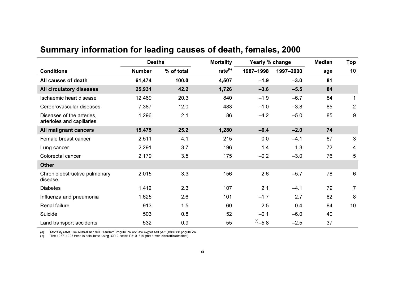|                                                         | <b>Deaths</b> |            | <b>Mortality</b> | Yearly % change |           | <b>Median</b> | Top            |
|---------------------------------------------------------|---------------|------------|------------------|-----------------|-----------|---------------|----------------|
| <b>Conditions</b>                                       | <b>Number</b> | % of total | rate $(a)$       | 1987-1998       | 1997-2000 | age           | 10             |
| All causes of death                                     | 61,474        | 100.0      | 4,507            | $-1.9$          | $-3.0$    | 81            |                |
| All circulatory diseases                                | 25,931        | 42.2       | 1,726            | $-3.6$          | $-5.5$    | 84            |                |
| Ischaemic heart disease                                 | 12,469        | 20.3       | 840              | $-1.9$          | $-6.7$    | 84            | $\mathbf 1$    |
| Cerebrovascular diseases                                | 7,387         | 12.0       | 483              | $-1.0$          | $-3.8$    | 85            | $\overline{2}$ |
| Diseases of the arteries,<br>arterioles and capillaries | 1,296         | 2.1        | 86               | $-4.2$          | $-5.0$    | 85            | 9              |
| All malignant cancers                                   | 15,475        | 25.2       | 1,280            | $-0.4$          | $-2.0$    | 74            |                |
| Female breast cancer                                    | 2,511         | 4.1        | 215              | 0.0             | $-4.1$    | 67            | 3              |
| Lung cancer                                             | 2,291         | 3.7        | 196              | 1.4             | 1.3       | 72            | 4              |
| Colorectal cancer                                       | 2,179         | 3.5        | 175              | $-0.2$          | $-3.0$    | 76            | 5              |
| <b>Other</b>                                            |               |            |                  |                 |           |               |                |
| Chronic obstructive pulmonary<br>disease                | 2,015         | 3.3        | 156              | 2.6             | $-5.7$    | 78            | 6              |
| <b>Diabetes</b>                                         | 1,412         | 2.3        | 107              | 2.1             | $-4.1$    | 79            | $\overline{7}$ |
| Influenza and pneumonia                                 | 1,625         | 2.6        | 101              | $-1.7$          | 2.7       | 82            | 8              |
| Renal failure                                           | 913           | 1.5        | 60               | 2.5             | 0.4       | 84            | 10             |
| Suicide                                                 | 503           | 0.8        | 52               | $-0.1$          | $-6.0$    | 40            |                |
| Land transport accidents                                | 532           | 0.9        | 55               | $(b)$ -5.8      | $-2.5$    | 37            |                |

### Summary information for leading causes of death, females, 2000

(a) Mortality rates use Australian 1991 Standard Population and are expressed per 1,000,000 population.<br>(b) The 1987–1998 trend is calculated using ICD-9 codes E810–819 (motor vehicle traffic accident).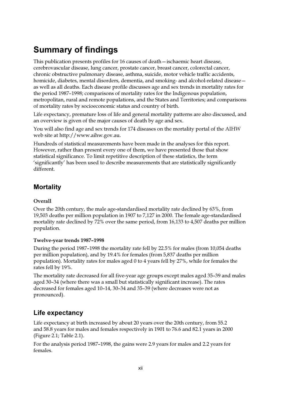## **Summary of findings**

This publication presents profiles for 16 causes of death – is chaemic heart disease, cerebrovascular disease, lung cancer, prostate cancer, breast cancer, colorectal cancer, chronic obstructive pulmonary disease, asthma, suicide, motor vehicle traffic accidents, homicide, diabetes, mental disorders, dementia, and smoking- and alcohol-related disease as well as all deaths. Each disease profile discusses age and sex trends in mortality rates for the period 1987–1998; comparisons of mortality rates for the Indigenous population, metropolitan, rural and remote populations, and the States and Territories; and comparisons of mortality rates by socioeconomic status and country of birth.

Life expectancy, premature loss of life and general mortality patterns are also discussed, and an overview is given of the major causes of death by age and sex.

You will also find age and sex trends for 174 diseases on the mortality portal of the AIHW web site at http://www.aihw.gov.au.

Hundreds of statistical measurements have been made in the analyses for this report. However, rather than present every one of them, we have presented those that show statistical significance. To limit repetitive description of these statistics, the term 'significantly' has been used to describe measurements that are statistically significantly different

#### **Mortality**

#### Overall

Over the 20th century, the male age-standardised mortality rate declined by 63%, from 19,503 deaths per million population in 1907 to 7,127 in 2000. The female age-standardised mortality rate declined by 72% over the same period, from 16,133 to 4,507 deaths per million population.

#### Twelve-year trends 1987-1998

During the period 1987-1998 the mortality rate fell by 22.5% for males (from 10,054 deaths per million population), and by 19.4% for females (from 5,837 deaths per million population). Mortality rates for males aged 0 to 4 years fell by 27%, while for females the rates fell by 19%.

The mortality rate decreased for all five-year age groups except males aged 35-39 and males aged 30-34 (where there was a small but statistically significant increase). The rates decreased for females aged 10-14, 30-34 and 35-39 (where decreases were not as pronounced).

#### Life expectancy

Life expectancy at birth increased by about 20 years over the 20th century, from 55.2 and 58.8 years for males and females respectively in 1901 to 76.6 and 82.1 years in 2000 (Figure 2.1; Table 2.1).

For the analysis period 1987–1998, the gains were 2.9 years for males and 2.2 years for females.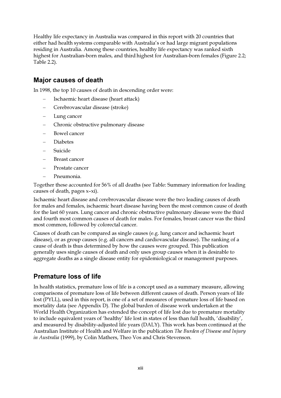Healthy life expectancy in Australia was compared in this report with 20 countries that either had health systems comparable with Australia's or had large migrant populations residing in Australia. Among these countries, healthy life expectancy was ranked sixth highest for Australian-born males, and third highest for Australian-born females (Figure 2.2; Table 2.2).

#### **Major causes of death**

In 1998, the top 10 causes of death in descending order were:

- Ischaemic heart disease (heart attack)
- Cerebrovascular disease (stroke)
- Lung cancer
- Chronic obstructive pulmonary disease  $\equiv$
- Bowel cancer
- **Diabetes**
- Suicide
- Breast cancer
- Prostate cancer  $\overline{\phantom{0}}$
- Pneumonia.

Together these accounted for 56% of all deaths (see Table: Summary information for leading causes of death, pages x-xi).

Ischaemic heart disease and cerebrovascular disease were the two leading causes of death for males and females, ischaemic heart disease having been the most common cause of death for the last 60 years. Lung cancer and chronic obstructive pulmonary disease were the third and fourth most common causes of death for males. For females, breast cancer was the third most common, followed by colorectal cancer.

Causes of death can be compared as single causes (e.g. lung cancer and ischaemic heart disease), or as group causes (e.g. all cancers and cardiovascular disease). The ranking of a cause of death is thus determined by how the causes were grouped. This publication generally uses single causes of death and only uses group causes when it is desirable to aggregate deaths as a single disease entity for epidemiological or management purposes.

#### **Premature loss of life**

In health statistics, premature loss of life is a concept used as a summary measure, allowing comparisons of premature loss of life between different causes of death. Person years of life lost (PYLL), used in this report, is one of a set of measures of premature loss of life based on mortality data (see Appendix D). The global burden of disease work undertaken at the World Health Organization has extended the concept of life lost due to premature mortality to include equivalent years of 'healthy' life lost in states of less than full health, 'disability', and measured by disability-adjusted life years (DALY). This work has been continued at the Australian Institute of Health and Welfare in the publication The Burden of Disease and Injury in Australia (1999), by Colin Mathers, Theo Vos and Chris Stevenson.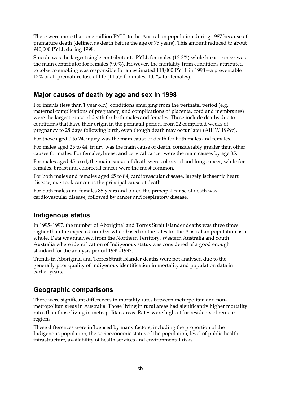There were more than one million PYLL to the Australian population during 1987 because of premature death (defined as death before the age of 75 years). This amount reduced to about 940,000 PYLL during 1998.

Suicide was the largest single contributor to PYLL for males (12.2%) while breast cancer was the main contributor for females (9.0%). However, the mortality from conditions attributed to tobacco smoking was responsible for an estimated 118,000 PYLL in 1998 – a preventable 13% of all premature loss of life (14.5% for males, 10.2% for females).

#### Major causes of death by age and sex in 1998

For infants (less than 1 year old), conditions emerging from the perinatal period (e.g. maternal complications of pregnancy, and complications of placenta, cord and membranes) were the largest cause of death for both males and females. These include deaths due to conditions that have their origin in the perinatal period, from 22 completed weeks of pregnancy to 28 days following birth, even though death may occur later (AIHW 1999c).

For those aged 0 to 24, injury was the main cause of death for both males and females.

For males aged 25 to 44, injury was the main cause of death, considerably greater than other causes for males. For females, breast and cervical cancer were the main causes by age 35.

For males aged 45 to 64, the main causes of death were colorectal and lung cancer, while for females, breast and colorectal cancer were the most common.

For both males and females aged 65 to 84, cardiovascular disease, largely ischaemic heart disease, overtook cancer as the principal cause of death.

For both males and females 85 years and older, the principal cause of death was cardiovascular disease, followed by cancer and respiratory disease.

#### **Indigenous status**

In 1995-1997, the number of Aboriginal and Torres Strait Islander deaths was three times higher than the expected number when based on the rates for the Australian population as a whole. Data was analysed from the Northern Territory, Western Australia and South Australia where identification of Indigenous status was considered of a good enough standard for the analysis period 1995-1997.

Trends in Aboriginal and Torres Strait Islander deaths were not analysed due to the generally poor quality of Indigenous identification in mortality and population data in earlier years.

#### **Geographic comparisons**

There were significant differences in mortality rates between metropolitan and nonmetropolitan areas in Australia. Those living in rural areas had significantly higher mortality rates than those living in metropolitan areas. Rates were highest for residents of remote regions.

These differences were influenced by many factors, including the proportion of the Indigenous population, the socioeconomic status of the population, level of public health infrastructure, availability of health services and environmental risks.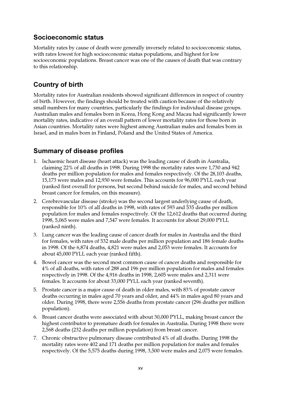#### Socioeconomic status

Mortality rates by cause of death were generally inversely related to socioeconomic status, with rates lowest for high socioeconomic status populations, and highest for low socioeconomic populations. Breast cancer was one of the causes of death that was contrary to this relationship.

#### **Country of birth**

Mortality rates for Australian residents showed significant differences in respect of country of birth. However, the findings should be treated with caution because of the relatively small numbers for many countries, particularly the findings for individual disease groups. Australian males and females born in Korea, Hong Kong and Macau had significantly lower mortality rates, indicative of an overall pattern of lower mortality rates for those born in Asian countries. Mortality rates were highest among Australian males and females born in Israel, and in males born in Finland, Poland and the United States of America.

#### **Summary of disease profiles**

- 1. Ischaemic heart disease (heart attack) was the leading cause of death in Australia, claiming 22% of all deaths in 1998. During 1998 the mortality rates were 1,730 and 942 deaths per million population for males and females respectively. Of the 28,103 deaths, 15,173 were males and 12,930 were females. This accounts for 96,000 PYLL each year (ranked first overall for persons, but second behind suicide for males, and second behind breast cancer for females, on this measure).
- 2. Cerebrovascular disease (stroke) was the second largest underlying cause of death, responsible for 10% of all deaths in 1998, with rates of 593 and 535 deaths per million population for males and females respectively. Of the 12,612 deaths that occurred during 1998, 5,065 were males and 7,547 were females. It accounts for about 29,000 PYLL (ranked ninth).
- 3. Lung cancer was the leading cause of cancer death for males in Australia and the third for females, with rates of 532 male deaths per million population and 186 female deaths in 1998. Of the 6,874 deaths, 4,821 were males and 2,053 were females. It accounts for about 45,000 PYLL each year (ranked fifth).
- 4. Bowel cancer was the second most common cause of cancer deaths and responsible for 4% of all deaths, with rates of 288 and 196 per million population for males and females respectively in 1998. Of the 4,916 deaths in 1998, 2,605 were males and 2,311 were females. It accounts for about 33,000 PYLL each year (ranked seventh).
- 5. Prostate cancer is a major cause of death in older males, with 83% of prostate cancer deaths occurring in males aged 70 years and older, and 44% in males aged 80 years and older. During 1998, there were 2,556 deaths from prostate cancer (296 deaths per million population).
- 6. Breast cancer deaths were associated with about 30,000 PYLL, making breast cancer the highest contributor to premature death for females in Australia. During 1998 there were 2,568 deaths (232 deaths per million population) from breast cancer.
- 7. Chronic obstructive pulmonary disease contributed 4% of all deaths. During 1998 the mortality rates were 402 and 171 deaths per million population for males and females respectively. Of the 5,575 deaths during 1998, 3,500 were males and 2,075 were females.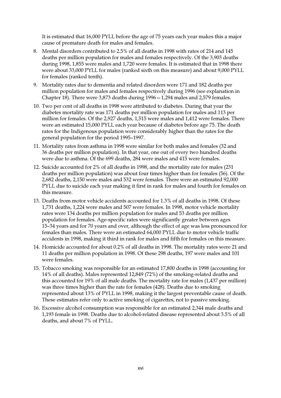It is estimated that 16,000 PYLL before the age of 75 years each year makes this a major cause of premature death for males and females.

- 8. Mental disorders contributed to 2.5% of all deaths in 1998 with rates of 214 and 145 deaths per million population for males and females respectively. Of the 3,903 deaths during 1998, 1,855 were males and 1,720 were females. It is estimated that in 1998 there were about 33,000 PYLL for males (ranked sixth on this measure) and about 9,000 PYLL for females (ranked tenth).
- 9. Mortality rates due to dementia and related disorders were 171 and 182 deaths per million population for males and females respectively during 1996 (see explanation in Chapter 18). There were 3,873 deaths during 1996 - 1,294 males and 2,579 females.
- 10. Two per cent of all deaths in 1998 were attributed to diabetes. During that year the diabetes mortality rate was 171 deaths per million population for males and 113 per million for females. Of the 2,927 deaths, 1,515 were males and 1,412 were females. There were an estimated 15,000 PYLL each year because of diabetes before age 75. The death rates for the Indigenous population were considerably higher than the rates for the general population for the period 1995-1997.
- 11. Mortality rates from asthma in 1998 were similar for both males and females (32 and 36 deaths per million population). In that year, one out of every two hundred deaths were due to asthma. Of the 699 deaths, 284 were males and 415 were females.
- 12. Suicide accounted for 2% of all deaths in 1998, and the mortality rate for males (231 deaths per million population) was about four times higher than for females (56). Of the 2,682 deaths, 2,150 were males and 532 were females. There were an estimated 92,000 PYLL due to suicide each year making it first in rank for males and fourth for females on this measure.
- 13. Deaths from motor vehicle accidents accounted for 1.3% of all deaths in 1998. Of these 1,731 deaths, 1,224 were males and 507 were females. In 1998, motor vehicle mortality rates were 134 deaths per million population for males and 53 deaths per million population for females. Age-specific rates were significantly greater between ages 15-34 years and for 70 years and over, although the effect of age was less pronounced for females than males. There were an estimated 64,000 PYLL due to motor vehicle traffic accidents in 1998, making it third in rank for males and fifth for females on this measure.
- 14. Homicide accounted for about 0.2% of all deaths in 1998. The mortality rates were 21 and 11 deaths per million population in 1998. Of these 298 deaths, 197 were males and 101 were females.
- 15. Tobacco smoking was responsible for an estimated 17,800 deaths in 1998 (accounting for 14% of all deaths). Males represented 12,849 (72%) of the smoking-related deaths and this accounted for 19% of all male deaths. The mortality rate for males (1,437 per million) was three times higher than the rate for females (428). Deaths due to smoking represented about 13% of PYLL in 1998, making it the largest preventable cause of death. These estimates refer only to active smoking of cigarettes, not to passive smoking.
- 16. Excessive alcohol consumption was responsible for an estimated 2,344 male deaths and 1,193 female in 1998. Deaths due to alcohol-related disease represented about 3.5% of all deaths, and about 7% of PYLL.